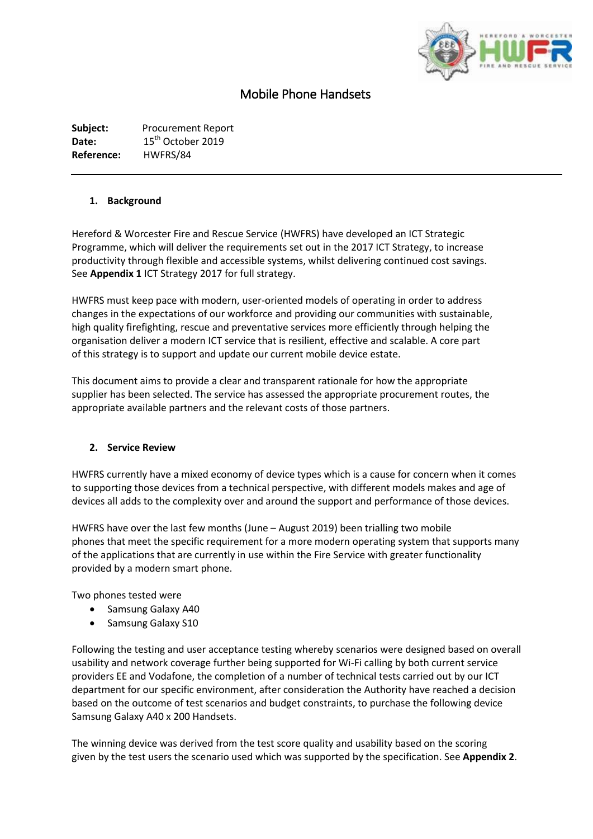

# Mobile Phone Handsets

**Subject:** Procurement Report Date: 15<sup>th</sup> October 2019 **Reference:** HWFRS/84

#### **1. Background**

Hereford & Worcester Fire and Rescue Service (HWFRS) have developed an ICT Strategic Programme, which will deliver the requirements set out in the 2017 ICT Strategy, to increase productivity through flexible and accessible systems, whilst delivering continued cost savings. See **Appendix 1** ICT Strategy 2017 for full strategy.

HWFRS must keep pace with modern, user-oriented models of operating in order to address changes in the expectations of our workforce and providing our communities with sustainable, high quality firefighting, rescue and preventative services more efficiently through helping the organisation deliver a modern ICT service that is resilient, effective and scalable. A core part of this strategy is to support and update our current mobile device estate.

This document aims to provide a clear and transparent rationale for how the appropriate supplier has been selected. The service has assessed the appropriate procurement routes, the appropriate available partners and the relevant costs of those partners.

#### **2. Service Review**

HWFRS currently have a mixed economy of device types which is a cause for concern when it comes to supporting those devices from a technical perspective, with different models makes and age of devices all adds to the complexity over and around the support and performance of those devices.

HWFRS have over the last few months (June – August 2019) been trialling two mobile phones that meet the specific requirement for a more modern operating system that supports many of the applications that are currently in use within the Fire Service with greater functionality provided by a modern smart phone.

Two phones tested were

- Samsung Galaxy A40
- Samsung Galaxy S10

Following the testing and user acceptance testing whereby scenarios were designed based on overall usability and network coverage further being supported for Wi-Fi calling by both current service providers EE and Vodafone, the completion of a number of technical tests carried out by our ICT department for our specific environment, after consideration the Authority have reached a decision based on the outcome of test scenarios and budget constraints, to purchase the following device Samsung Galaxy A40 x 200 Handsets.

The winning device was derived from the test score quality and usability based on the scoring given by the test users the scenario used which was supported by the specification. See **Appendix 2**.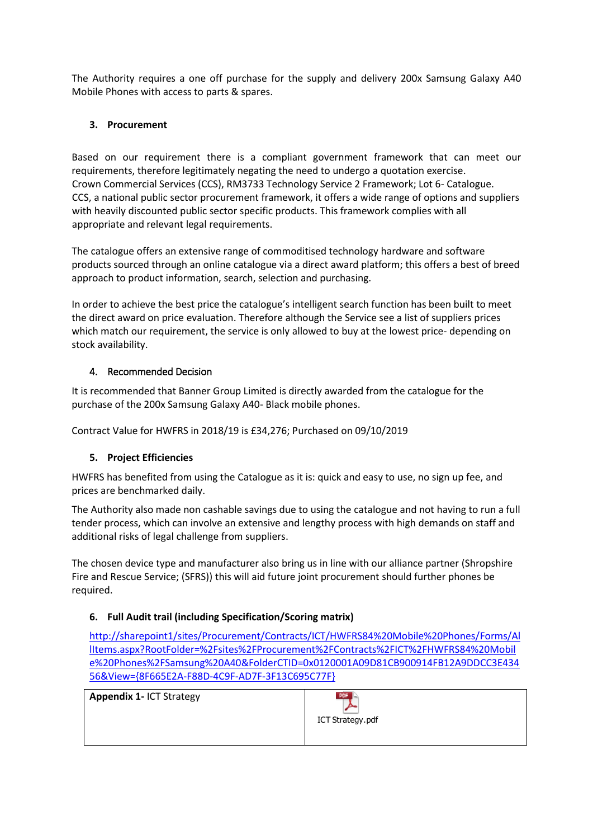The Authority requires a one off purchase for the supply and delivery 200x Samsung Galaxy A40 Mobile Phones with access to parts & spares.

## **3. Procurement**

Based on our requirement there is a compliant government framework that can meet our requirements, therefore legitimately negating the need to undergo a quotation exercise. Crown Commercial Services (CCS), RM3733 Technology Service 2 Framework; Lot 6- Catalogue. CCS, a national public sector procurement framework, it offers a wide range of options and suppliers with heavily discounted public sector specific products. This framework complies with all appropriate and relevant legal requirements.

The catalogue offers an extensive range of commoditised technology hardware and software products sourced through an online catalogue via a direct award platform; this offers a best of breed approach to product information, search, selection and purchasing.

In order to achieve the best price the catalogue's intelligent search function has been built to meet the direct award on price evaluation. Therefore although the Service see a list of suppliers prices which match our requirement, the service is only allowed to buy at the lowest price- depending on stock availability.

## 4. Recommended Decision

It is recommended that Banner Group Limited is directly awarded from the catalogue for the purchase of the 200x Samsung Galaxy A40- Black mobile phones.

Contract Value for HWFRS in 2018/19 is £34,276; Purchased on 09/10/2019

# **5. Project Efficiencies**

HWFRS has benefited from using the Catalogue as it is: quick and easy to use, no sign up fee, and prices are benchmarked daily.

The Authority also made non cashable savings due to using the catalogue and not having to run a full tender process, which can involve an extensive and lengthy process with high demands on staff and additional risks of legal challenge from suppliers.

The chosen device type and manufacturer also bring us in line with our alliance partner (Shropshire Fire and Rescue Service; (SFRS)) this will aid future joint procurement should further phones be required.

# **6. Full Audit trail (including Specification/Scoring matrix)**

[http://sharepoint1/sites/Procurement/Contracts/ICT/HWFRS84%20Mobile%20Phones/Forms/Al](http://sharepoint1/sites/Procurement/Contracts/ICT/HWFRS84%20Mobile%20Phones/Forms/AllItems.aspx?RootFolder=%2Fsites%2FProcurement%2FContracts%2FICT%2FHWFRS84%20Mobile%20Phones%2FSamsung%20A40&FolderCTID=0x0120001A09D81CB900914FB12A9DDCC3E43456&View=%7b8F665E2A-F88D-4C9F-AD7F-3F13C695C77F%7d) [lItems.aspx?RootFolder=%2Fsites%2FProcurement%2FContracts%2FICT%2FHWFRS84%20Mobil](http://sharepoint1/sites/Procurement/Contracts/ICT/HWFRS84%20Mobile%20Phones/Forms/AllItems.aspx?RootFolder=%2Fsites%2FProcurement%2FContracts%2FICT%2FHWFRS84%20Mobile%20Phones%2FSamsung%20A40&FolderCTID=0x0120001A09D81CB900914FB12A9DDCC3E43456&View=%7b8F665E2A-F88D-4C9F-AD7F-3F13C695C77F%7d) [e%20Phones%2FSamsung%20A40&FolderCTID=0x0120001A09D81CB900914FB12A9DDCC3E434](http://sharepoint1/sites/Procurement/Contracts/ICT/HWFRS84%20Mobile%20Phones/Forms/AllItems.aspx?RootFolder=%2Fsites%2FProcurement%2FContracts%2FICT%2FHWFRS84%20Mobile%20Phones%2FSamsung%20A40&FolderCTID=0x0120001A09D81CB900914FB12A9DDCC3E43456&View=%7b8F665E2A-F88D-4C9F-AD7F-3F13C695C77F%7d) [56&View={8F665E2A-F88D-4C9F-AD7F-3F13C695C77F}](http://sharepoint1/sites/Procurement/Contracts/ICT/HWFRS84%20Mobile%20Phones/Forms/AllItems.aspx?RootFolder=%2Fsites%2FProcurement%2FContracts%2FICT%2FHWFRS84%20Mobile%20Phones%2FSamsung%20A40&FolderCTID=0x0120001A09D81CB900914FB12A9DDCC3E43456&View=%7b8F665E2A-F88D-4C9F-AD7F-3F13C695C77F%7d)

**Appendix 1-** ICT Strategy